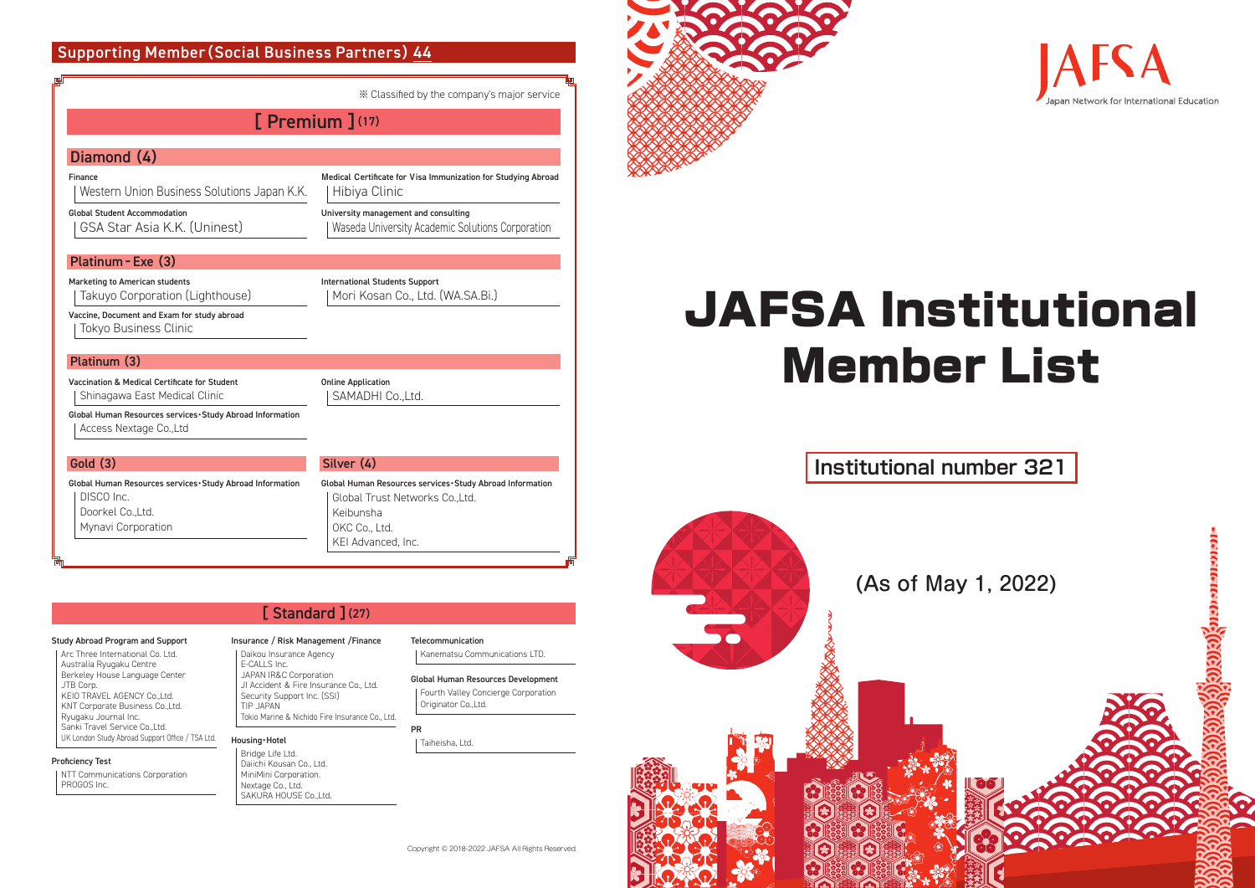(As of May 1, 2022)

# **Institutional number 321**



Copyright © 2018-2022 JAFSA All Rights Reserved.



# JAFSA Institutional Member List

## Supporting Member(Social Business Partners)44

Vaccine, Document and Exam for study abroad Tokyo Business Clinic

#### Platinum (3)

Vaccination & Medical Certificate for Student Shinagawa East Medical Clinic

NTT Communications Corporation PROGOS Inc.

Global Human Resources services・Study Abroad Information

Access Nextage Co.,Ltd

Online Application

SAMADHI Co.,Ltd.

Global Human Resources services・Study Abroad Information Global Trust Networks Co.,Ltd. Keibunsha OKC Co., Ltd. KEI Advanced, Inc.

#### Silver (4)

Global Human Resources services・Study Abroad Information DISCO Inc. Doorkel Co.,Ltd. Mynavi Corporation

#### Gold (3)

※ Classified by the company's major service

#### Diamond (4) Finance Western Union Business Solutions Japan K.K. Global Student Accommodation GSA Star Asia K.K. (Uninest) Medical Certificate for Visa Immunization for Studying Abroad Hibiya Clinic University management and consulting Waseda University Academic Solutions Corporation Platinum‐Exe (3) Marketing to American students Takuyo Corporation (Lighthouse) International Students Support Mori Kosan Co., Ltd. (WA.SA.Bi.) [ Premium ](17)

#### Study Abroad Program and Support

Arc Three International Co. Ltd. Australia Ryugaku Centre Berkeley House Language Center JTB Corp. KEIO TRAVEL AGENCY Co., Ltd. KNT Corporate Business Co.,Ltd. Ryugaku Journal Inc. Sanki Travel Service Co.,Ltd. UK London Study Abroad Support Office / TSA Ltd.

#### Proficiency Test

#### Insurance / Risk Management /Finance

Daikou Insurance Agency E-CALLS Inc. JAPAN IR&C Corporation JI Accident & Fire Insurance Co., Ltd. Security Support Inc. (SSI) TIP JAPAN Tokio Marine & Nichido Fire Insurance Co., Ltd.

[ Standard ](27)

#### Housing・Hotel

Bridge Life Ltd. Daiichi Kousan Co., Ltd. MiniMini Corporation. Nextage Co., Ltd. SAKURA HOUSE Co.,Ltd.

#### Telecommunication

Kanematsu Communications LTD.

#### Global Human Resources Development

Fourth Valley Concierge Corporation Originator Co.,Ltd.

#### PR

Taiheisha, Ltd.